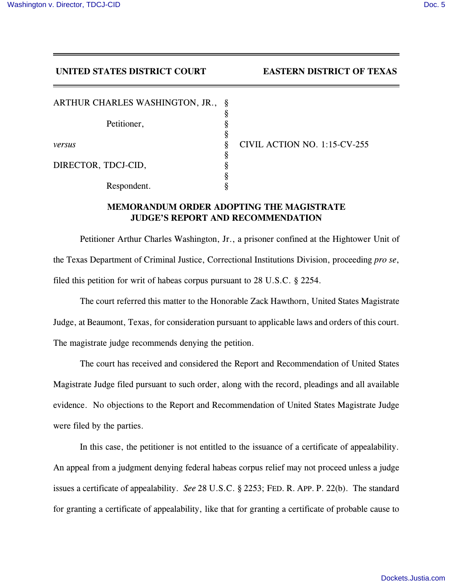## **UNITED STATES DISTRICT COURT EASTERN DISTRICT OF TEXAS**

| ARTHUR CHARLES WASHINGTON, JR., | Ş |
|---------------------------------|---|
|                                 | ş |
| Petitioner,                     | ş |
|                                 | ş |
| versus                          | ş |
|                                 | ş |
| DIRECTOR, TDCJ-CID,             |   |
|                                 | ş |
| Respondent.                     |   |

*versus* § CIVIL ACTION NO. 1:15-CV-255

## **MEMORANDUM ORDER ADOPTING THE MAGISTRATE JUDGE'S REPORT AND RECOMMENDATION**

Petitioner Arthur Charles Washington, Jr., a prisoner confined at the Hightower Unit of the Texas Department of Criminal Justice, Correctional Institutions Division, proceeding *pro se*, filed this petition for writ of habeas corpus pursuant to 28 U.S.C. § 2254.

The court referred this matter to the Honorable Zack Hawthorn, United States Magistrate Judge, at Beaumont, Texas, for consideration pursuant to applicable laws and orders of this court. The magistrate judge recommends denying the petition.

The court has received and considered the Report and Recommendation of United States Magistrate Judge filed pursuant to such order, along with the record, pleadings and all available evidence. No objections to the Report and Recommendation of United States Magistrate Judge were filed by the parties.

In this case, the petitioner is not entitled to the issuance of a certificate of appealability. An appeal from a judgment denying federal habeas corpus relief may not proceed unless a judge issues a certificate of appealability. *See* 28 U.S.C. § 2253; FED. R. APP. P. 22(b). The standard for granting a certificate of appealability, like that for granting a certificate of probable cause to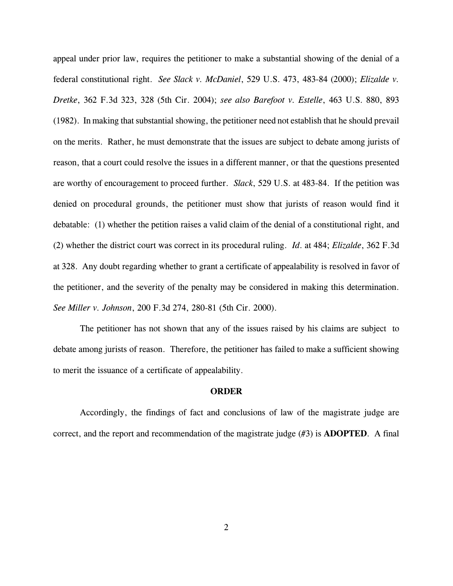appeal under prior law, requires the petitioner to make a substantial showing of the denial of a federal constitutional right. *See Slack v. McDaniel*, 529 U.S. 473, 483-84 (2000); *Elizalde v. Dretke*, 362 F.3d 323, 328 (5th Cir. 2004); *see also Barefoot v. Estelle*, 463 U.S. 880, 893 (1982). In making that substantial showing, the petitioner need not establish that he should prevail on the merits. Rather, he must demonstrate that the issues are subject to debate among jurists of reason, that a court could resolve the issues in a different manner, or that the questions presented are worthy of encouragement to proceed further. *Slack*, 529 U.S. at 483-84. If the petition was denied on procedural grounds, the petitioner must show that jurists of reason would find it debatable: (1) whether the petition raises a valid claim of the denial of a constitutional right, and (2) whether the district court was correct in its procedural ruling. *Id*. at 484; *Elizalde*, 362 F.3d at 328. Any doubt regarding whether to grant a certificate of appealability is resolved in favor of the petitioner, and the severity of the penalty may be considered in making this determination. *See Miller v. Johnson*, 200 F.3d 274, 280-81 (5th Cir. 2000).

The petitioner has not shown that any of the issues raised by his claims are subject to debate among jurists of reason. Therefore, the petitioner has failed to make a sufficient showing to merit the issuance of a certificate of appealability.

## **ORDER**

Accordingly, the findings of fact and conclusions of law of the magistrate judge are correct, and the report and recommendation of the magistrate judge (#3) is **ADOPTED**. A final